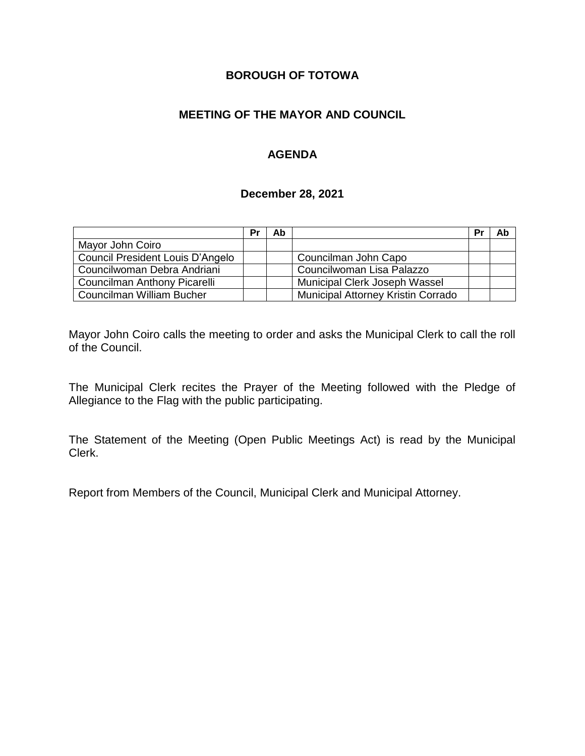## **BOROUGH OF TOTOWA**

## **MEETING OF THE MAYOR AND COUNCIL**

## **AGENDA**

### **December 28, 2021**

|                                  | Pr | Ab |                                    | Pr | Ab |
|----------------------------------|----|----|------------------------------------|----|----|
| Mayor John Coiro                 |    |    |                                    |    |    |
| Council President Louis D'Angelo |    |    | Councilman John Capo               |    |    |
| Councilwoman Debra Andriani      |    |    | Councilwoman Lisa Palazzo          |    |    |
| Councilman Anthony Picarelli     |    |    | Municipal Clerk Joseph Wassel      |    |    |
| Councilman William Bucher        |    |    | Municipal Attorney Kristin Corrado |    |    |

Mayor John Coiro calls the meeting to order and asks the Municipal Clerk to call the roll of the Council.

The Municipal Clerk recites the Prayer of the Meeting followed with the Pledge of Allegiance to the Flag with the public participating.

The Statement of the Meeting (Open Public Meetings Act) is read by the Municipal Clerk.

Report from Members of the Council, Municipal Clerk and Municipal Attorney.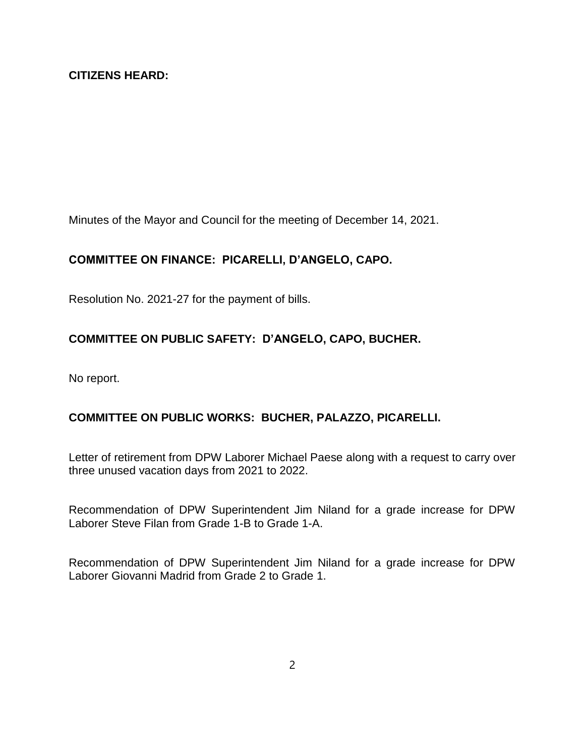Minutes of the Mayor and Council for the meeting of December 14, 2021.

# **COMMITTEE ON FINANCE: PICARELLI, D'ANGELO, CAPO.**

Resolution No. 2021-27 for the payment of bills.

# **COMMITTEE ON PUBLIC SAFETY: D'ANGELO, CAPO, BUCHER.**

No report.

## **COMMITTEE ON PUBLIC WORKS: BUCHER, PALAZZO, PICARELLI.**

Letter of retirement from DPW Laborer Michael Paese along with a request to carry over three unused vacation days from 2021 to 2022.

Recommendation of DPW Superintendent Jim Niland for a grade increase for DPW Laborer Steve Filan from Grade 1-B to Grade 1-A.

Recommendation of DPW Superintendent Jim Niland for a grade increase for DPW Laborer Giovanni Madrid from Grade 2 to Grade 1.